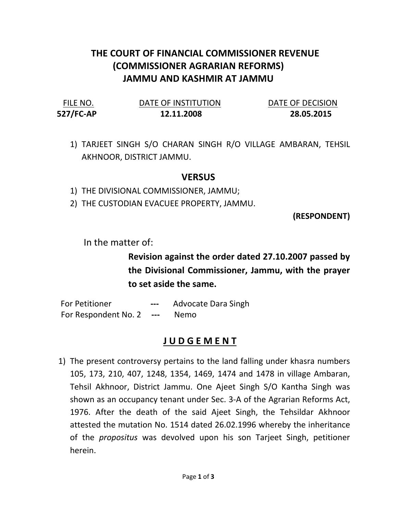## THE COURT OF FINANCIAL COMMISSIONER REVENUE (COMMISSIONER AGRARIAN REFORMS) JAMMU AND KASHMIR AT JAMMU

527/FC-AP 12.11.2008 28.05.2015

FILE NO. DATE OF INSTITUTION DATE OF DECISION

1) TARJEET SINGH S/O CHARAN SINGH R/O VILLAGE AMBARAN, TEHSIL AKHNOOR, DISTRICT JAMMU.

## VERSUS

1) THE DIVISIONAL COMMISSIONER, JAMMU;

2) THE CUSTODIAN EVACUEE PROPERTY, JAMMU.

(RESPONDENT)

In the matter of:

Revision against the order dated 27.10.2007 passed by the Divisional Commissioner, Jammu, with the prayer to set aside the same.

For Petitioner --- Advocate Dara Singh For Respondent No. 2 --- Nemo

## J U D G E M E N T

1) The present controversy pertains to the land falling under khasra numbers 105, 173, 210, 407, 1248, 1354, 1469, 1474 and 1478 in village Ambaran, Tehsil Akhnoor, District Jammu. One Ajeet Singh S/O Kantha Singh was shown as an occupancy tenant under Sec. 3-A of the Agrarian Reforms Act, 1976. After the death of the said Ajeet Singh, the Tehsildar Akhnoor attested the mutation No. 1514 dated 26.02.1996 whereby the inheritance of the propositus was devolved upon his son Tarjeet Singh, petitioner herein.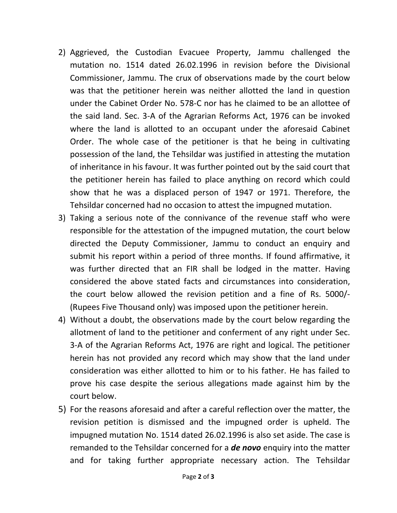- 2) Aggrieved, the Custodian Evacuee Property, Jammu challenged the mutation no. 1514 dated 26.02.1996 in revision before the Divisional Commissioner, Jammu. The crux of observations made by the court below was that the petitioner herein was neither allotted the land in question under the Cabinet Order No. 578-C nor has he claimed to be an allottee of the said land. Sec. 3-A of the Agrarian Reforms Act, 1976 can be invoked where the land is allotted to an occupant under the aforesaid Cabinet Order. The whole case of the petitioner is that he being in cultivating possession of the land, the Tehsildar was justified in attesting the mutation of inheritance in his favour. It was further pointed out by the said court that the petitioner herein has failed to place anything on record which could show that he was a displaced person of 1947 or 1971. Therefore, the Tehsildar concerned had no occasion to attest the impugned mutation.
- 3) Taking a serious note of the connivance of the revenue staff who were responsible for the attestation of the impugned mutation, the court below directed the Deputy Commissioner, Jammu to conduct an enquiry and submit his report within a period of three months. If found affirmative, it was further directed that an FIR shall be lodged in the matter. Having considered the above stated facts and circumstances into consideration, the court below allowed the revision petition and a fine of Rs. 5000/- (Rupees Five Thousand only) was imposed upon the petitioner herein.
- 4) Without a doubt, the observations made by the court below regarding the allotment of land to the petitioner and conferment of any right under Sec. 3-A of the Agrarian Reforms Act, 1976 are right and logical. The petitioner herein has not provided any record which may show that the land under consideration was either allotted to him or to his father. He has failed to prove his case despite the serious allegations made against him by the court below.
- 5) For the reasons aforesaid and after a careful reflection over the matter, the revision petition is dismissed and the impugned order is upheld. The impugned mutation No. 1514 dated 26.02.1996 is also set aside. The case is remanded to the Tehsildar concerned for a **de novo** enquiry into the matter and for taking further appropriate necessary action. The Tehsildar